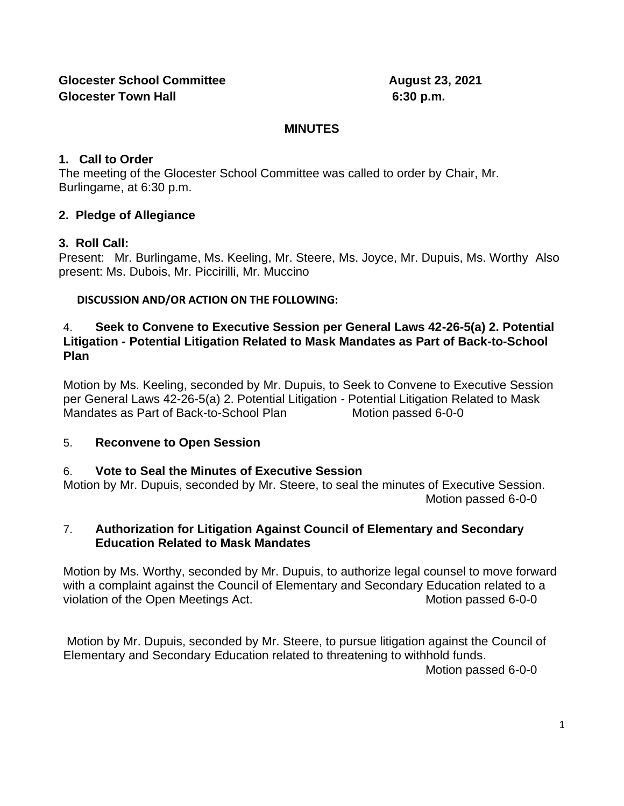### **MINUTES**

## **1. Call to Order**

The meeting of the Glocester School Committee was called to order by Chair, Mr. Burlingame, at 6:30 p.m.

# **2. Pledge of Allegiance**

# **3. Roll Call:**

Present: Mr. Burlingame, Ms. Keeling, Mr. Steere, Ms. Joyce, Mr. Dupuis, Ms. Worthy Also present: Ms. Dubois, Mr. Piccirilli, Mr. Muccino

### **DISCUSSION AND/OR ACTION ON THE FOLLOWING:**

#### 4. **Seek to Convene to Executive Session per General Laws 42-26-5(a) 2. Potential Litigation - Potential Litigation Related to Mask Mandates as Part of Back-to-School Plan**

Motion by Ms. Keeling, seconded by Mr. Dupuis, to Seek to Convene to Executive Session per General Laws 42-26-5(a) 2. Potential Litigation - Potential Litigation Related to Mask Mandates as Part of Back-to-School Plan Motion passed 6-0-0

### 5. **Reconvene to Open Session**

# 6. **Vote to Seal the Minutes of Executive Session**

Motion by Mr. Dupuis, seconded by Mr. Steere, to seal the minutes of Executive Session. Motion passed 6-0-0

#### 7. **Authorization for Litigation Against Council of Elementary and Secondary Education Related to Mask Mandates**

Motion by Ms. Worthy, seconded by Mr. Dupuis, to authorize legal counsel to move forward with a complaint against the Council of Elementary and Secondary Education related to a violation of the Open Meetings Act. Motion passed 6-0-0

Motion by Mr. Dupuis, seconded by Mr. Steere, to pursue litigation against the Council of Elementary and Secondary Education related to threatening to withhold funds. Motion passed 6-0-0